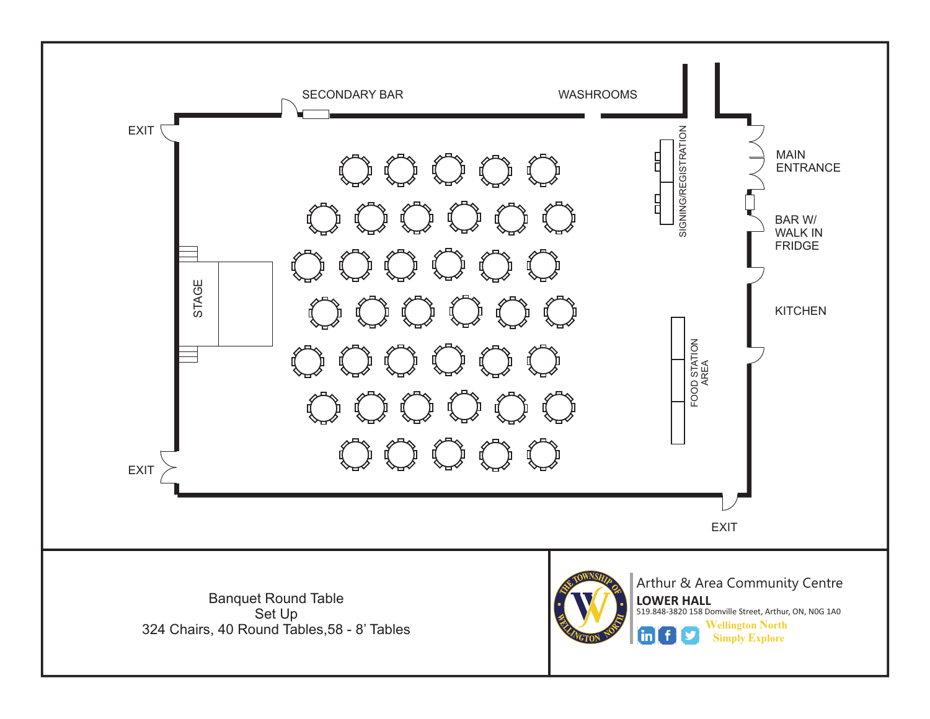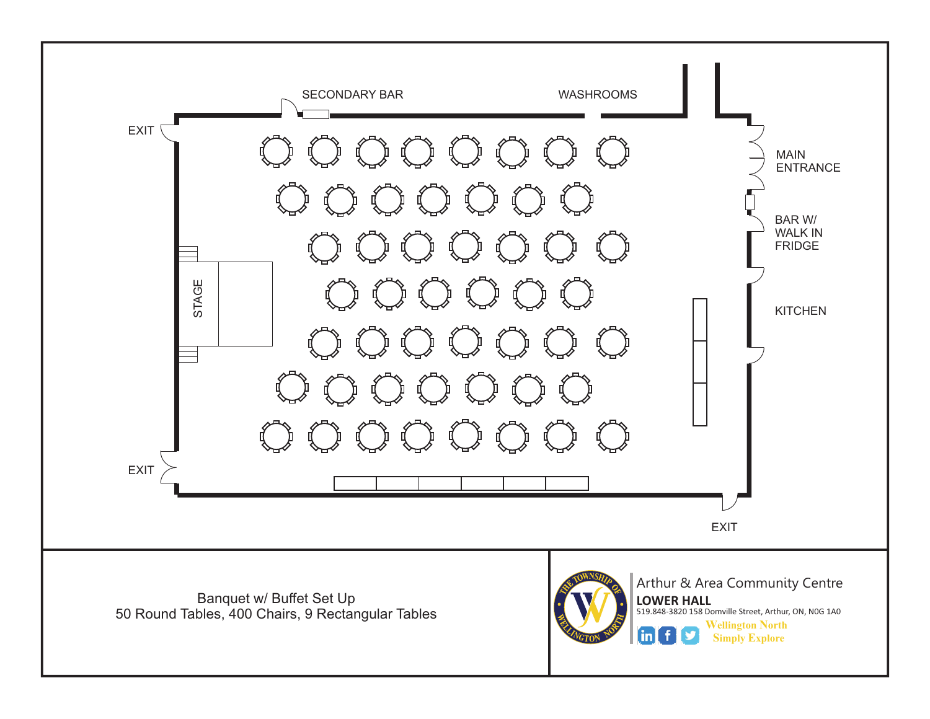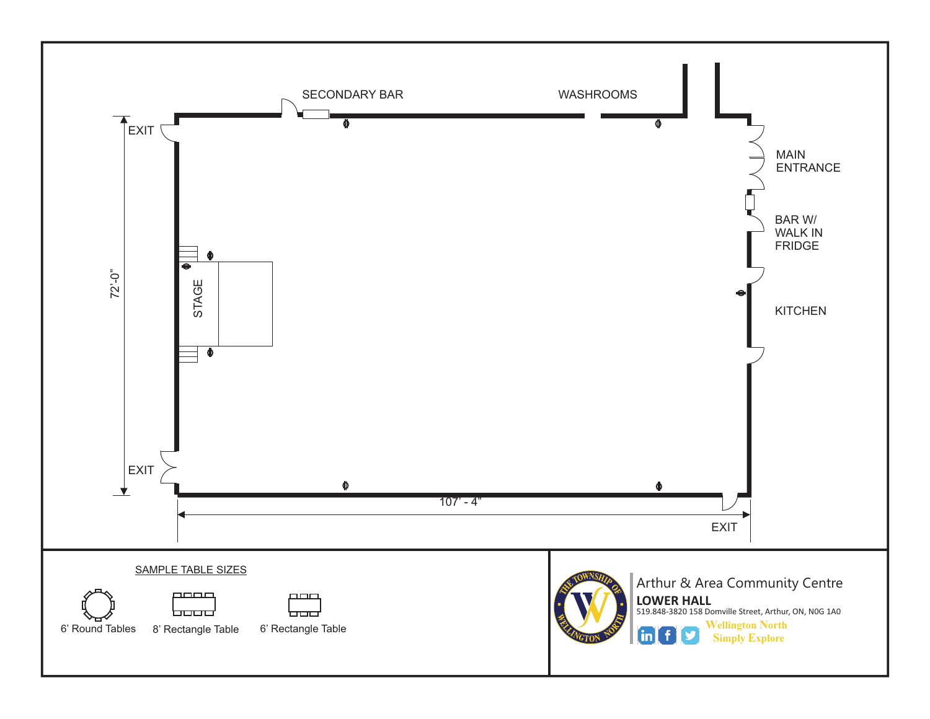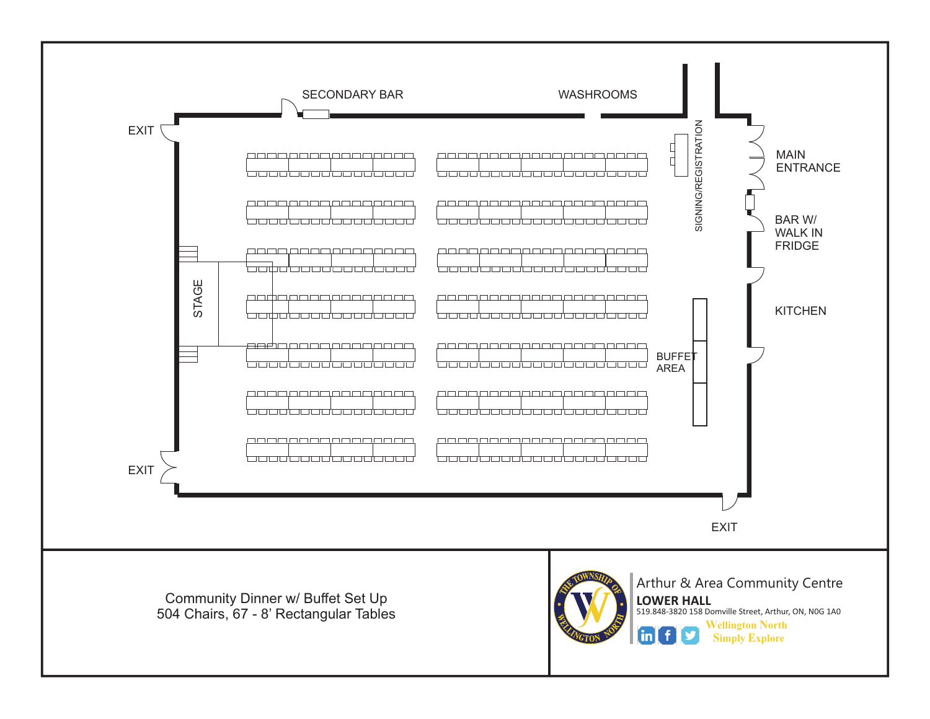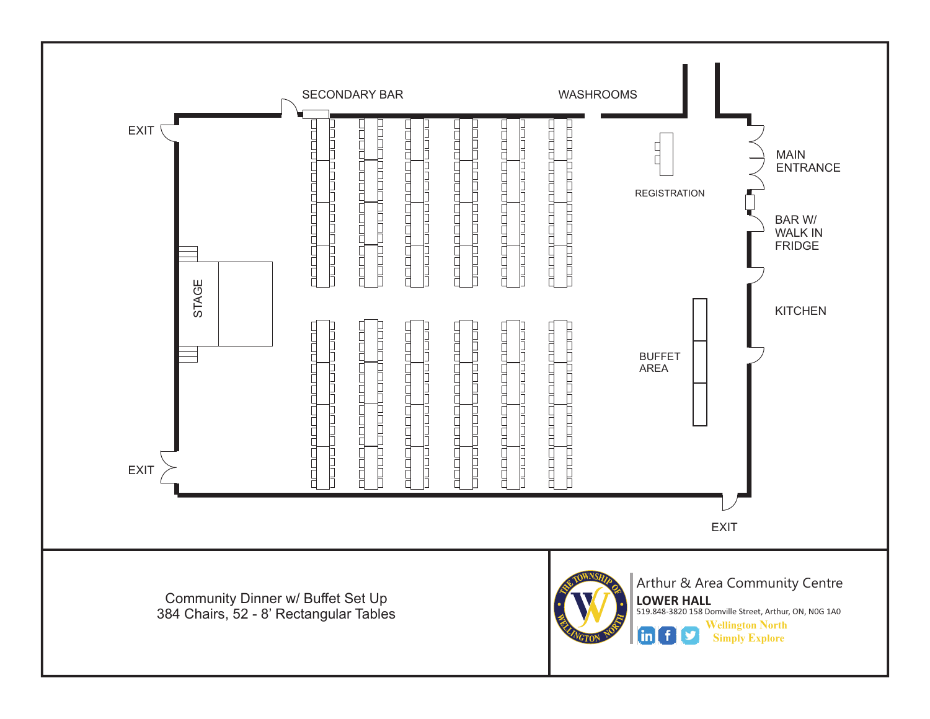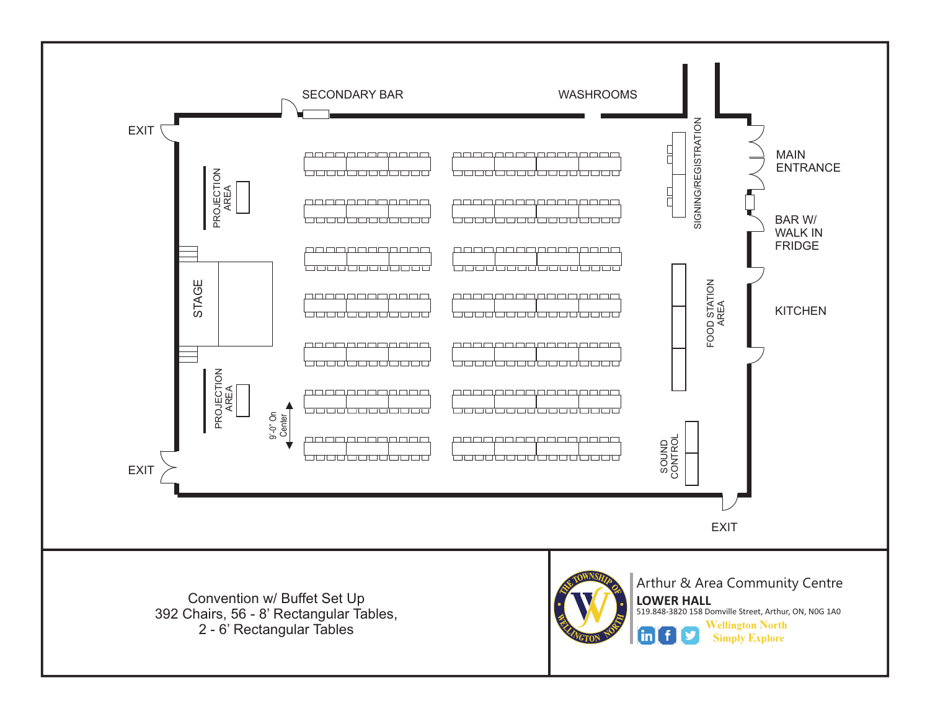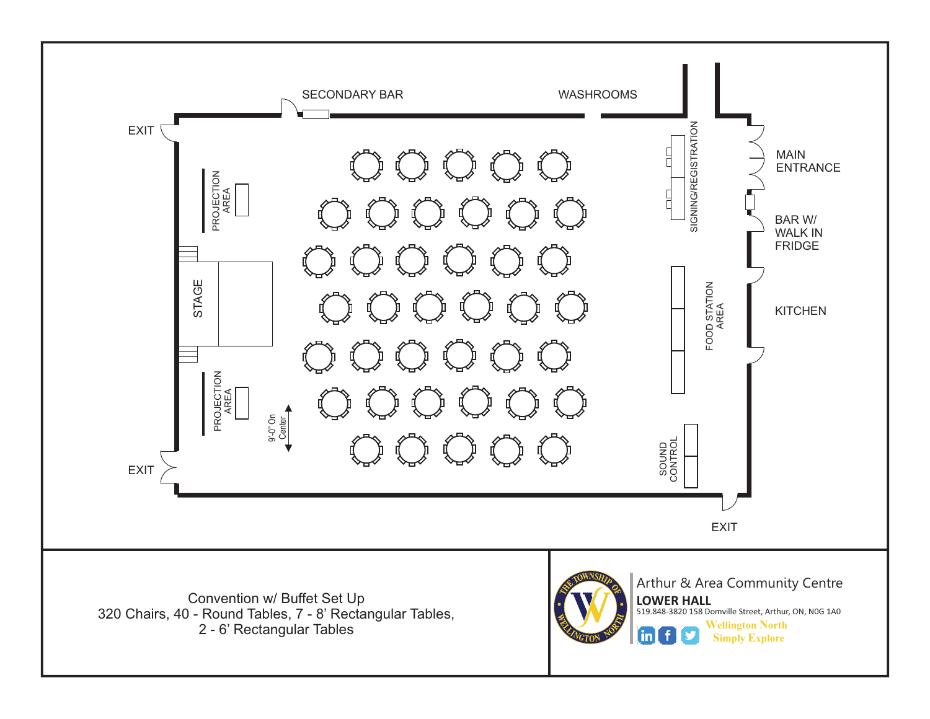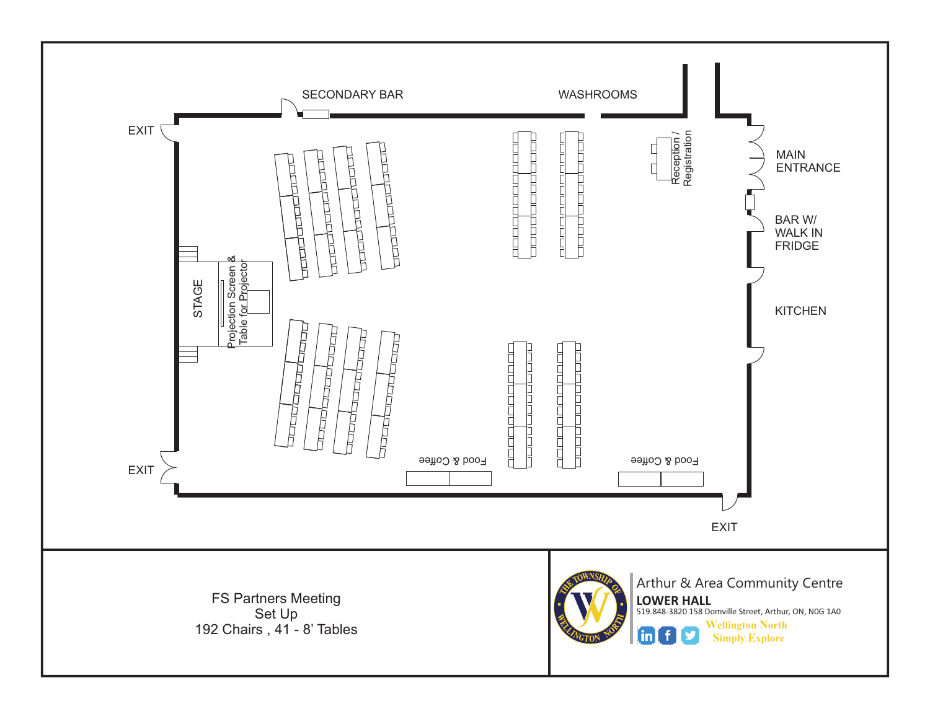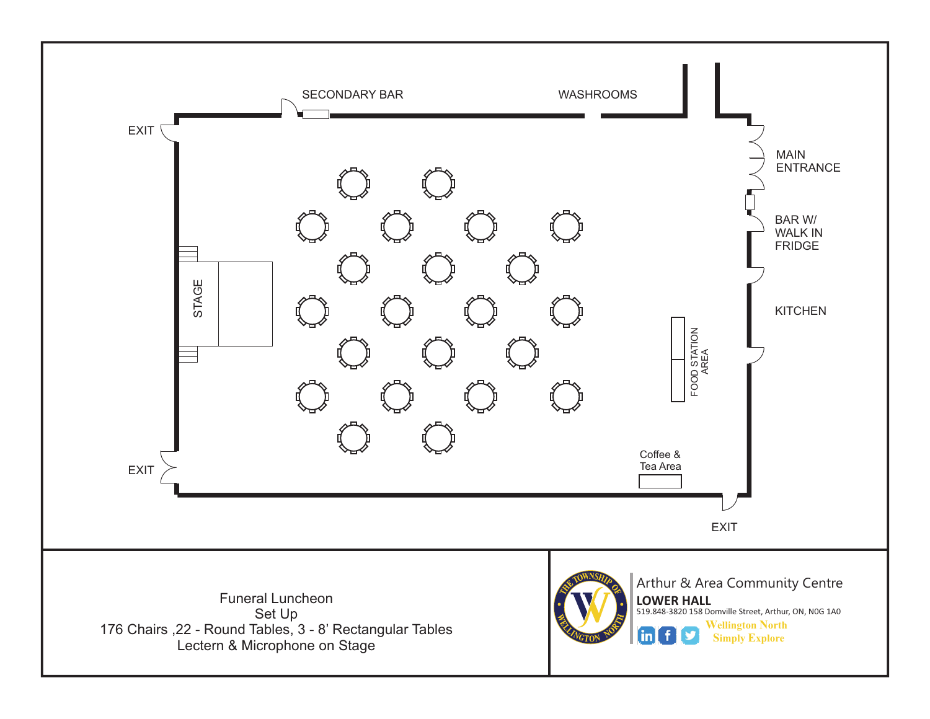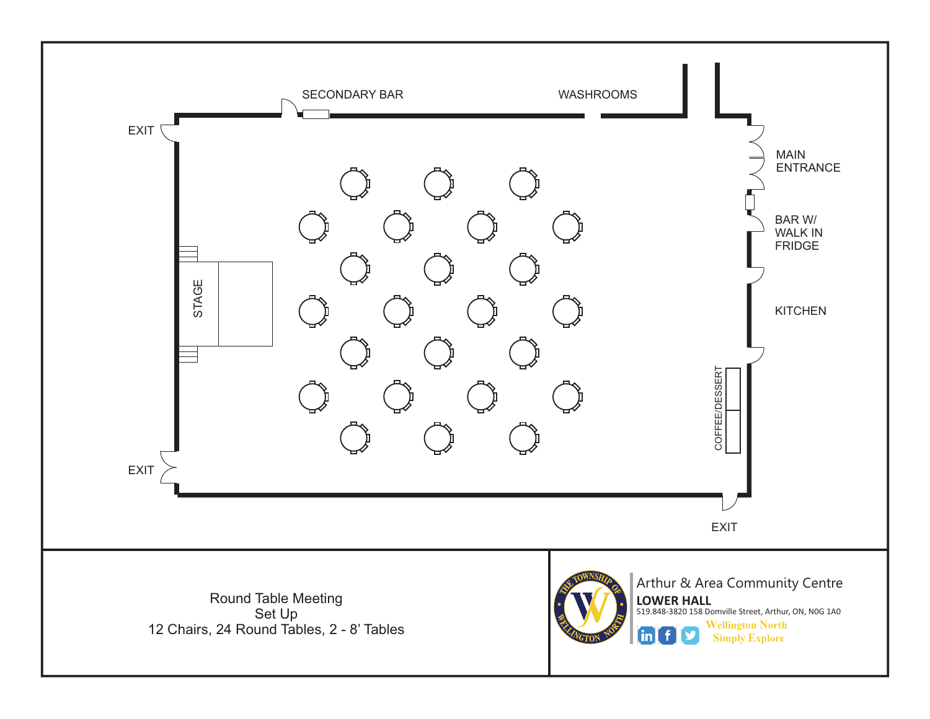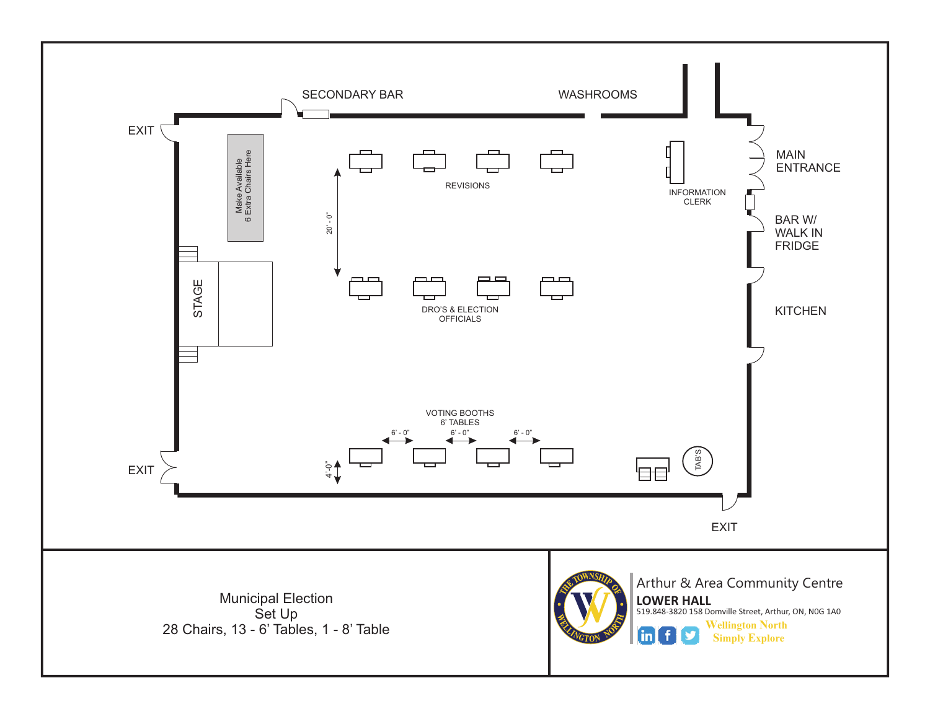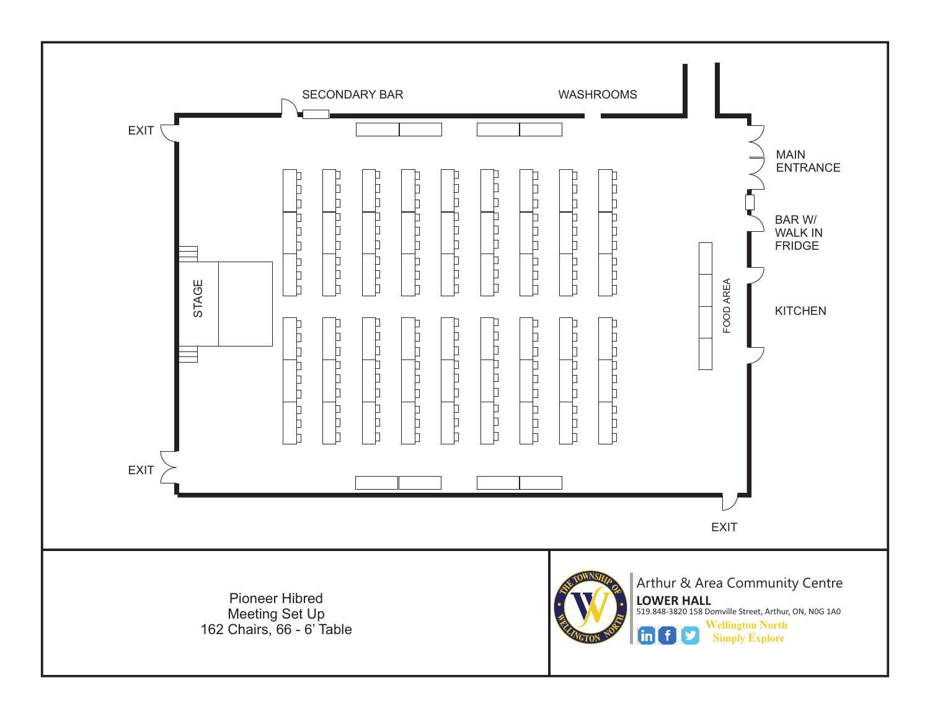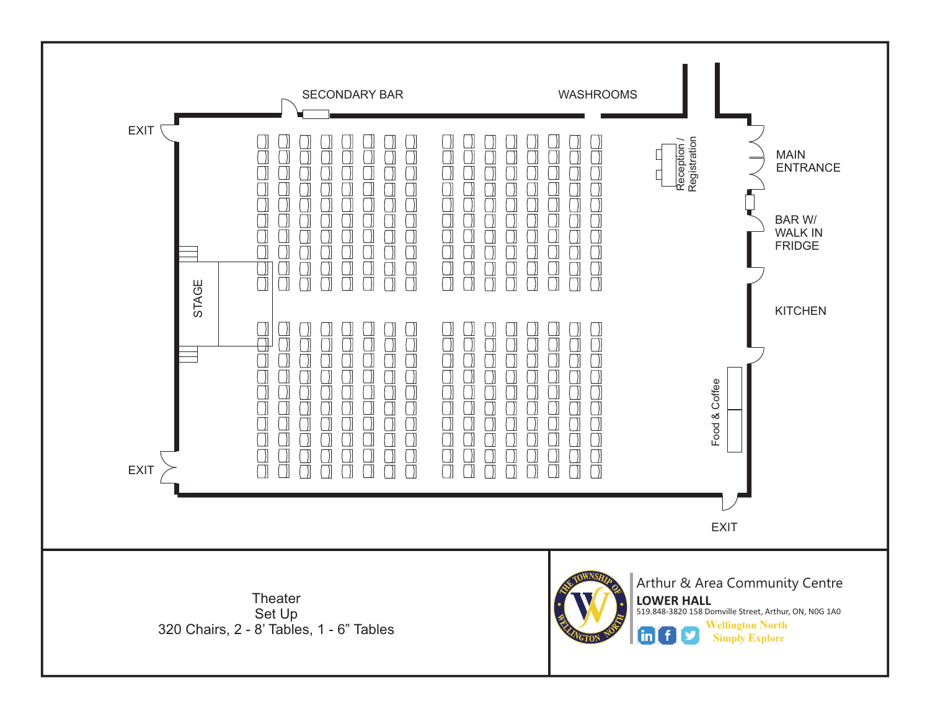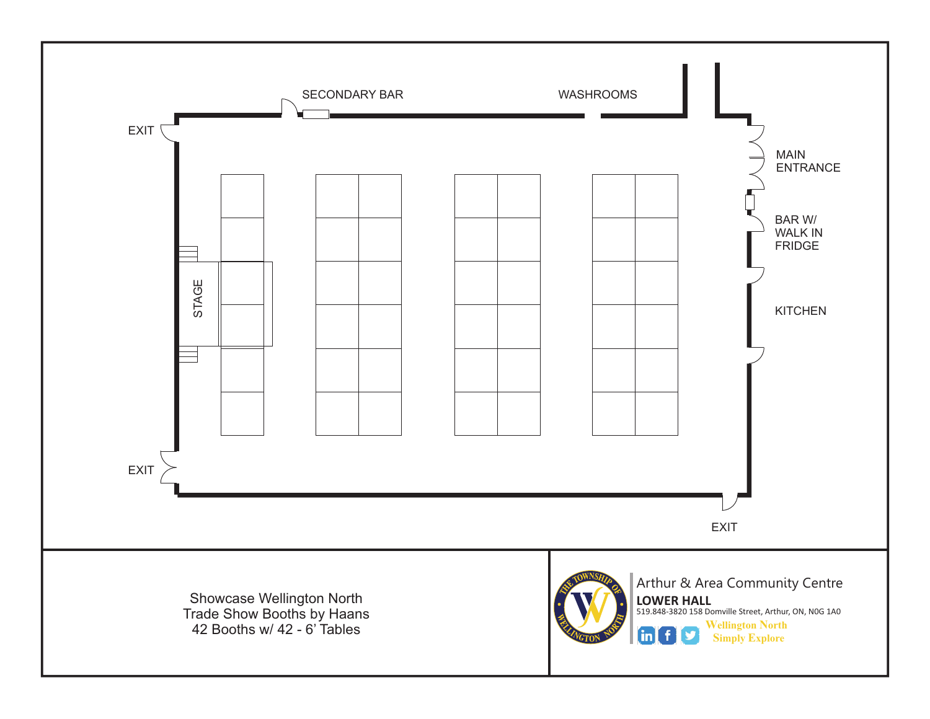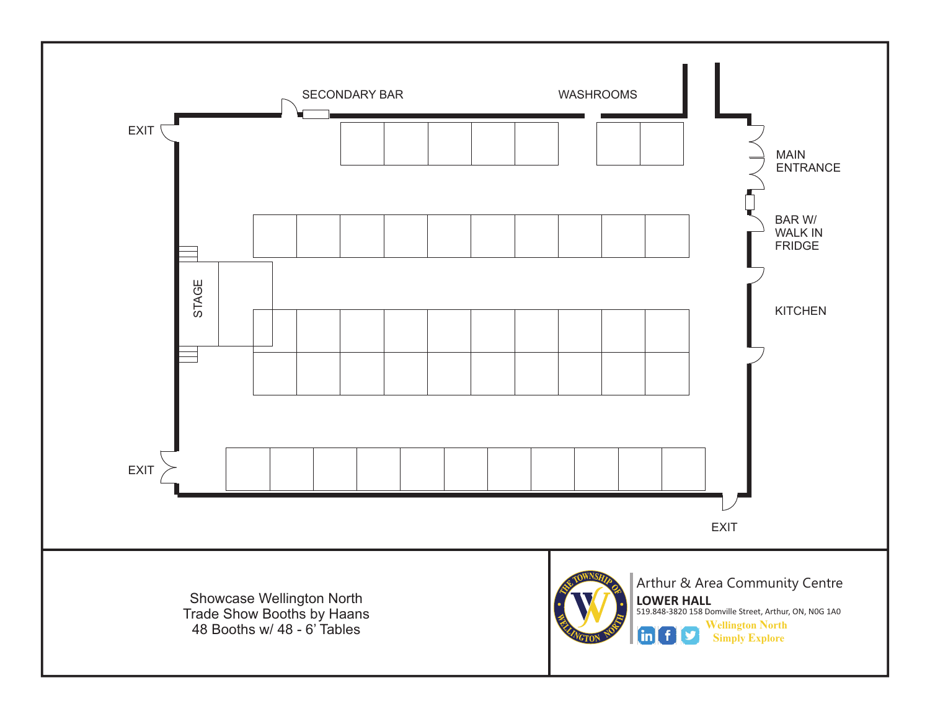